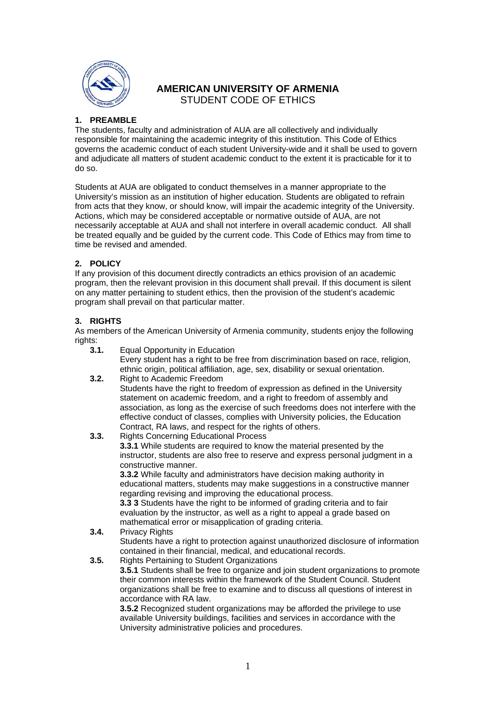

# **AMERICAN UNIVERSITY OF ARMENIA**  STUDENT CODE OF ETHICS

## **1. PREAMBLE**

The students, faculty and administration of AUA are all collectively and individually responsible for maintaining the academic integrity of this institution. This Code of Ethics governs the academic conduct of each student University-wide and it shall be used to govern and adjudicate all matters of student academic conduct to the extent it is practicable for it to do so.

Students at AUA are obligated to conduct themselves in a manner appropriate to the University's mission as an institution of higher education. Students are obligated to refrain from acts that they know, or should know, will impair the academic integrity of the University. Actions, which may be considered acceptable or normative outside of AUA, are not necessarily acceptable at AUA and shall not interfere in overall academic conduct. All shall be treated equally and be guided by the current code. This Code of Ethics may from time to time be revised and amended.

## **2. POLICY**

If any provision of this document directly contradicts an ethics provision of an academic program, then the relevant provision in this document shall prevail. If this document is silent on any matter pertaining to student ethics, then the provision of the student's academic program shall prevail on that particular matter.

## **3. RIGHTS**

As members of the American University of Armenia community, students enjoy the following rights:

- **3.1.** Equal Opportunity in Education
	- Every student has a right to be free from discrimination based on race, religion, ethnic origin, political affiliation, age, sex, disability or sexual orientation.
- **3.2.** Right to Academic Freedom Students have the right to freedom of expression as defined in the University statement on academic freedom, and a right to freedom of assembly and association, as long as the exercise of such freedoms does not interfere with the effective conduct of classes, complies with University policies, the Education Contract, RA laws, and respect for the rights of others.
- **3.3.** Rights Concerning Educational Process

**3.3.1** While students are required to know the material presented by the instructor, students are also free to reserve and express personal judgment in a constructive manner.

**3.3.2** While faculty and administrators have decision making authority in educational matters, students may make suggestions in a constructive manner regarding revising and improving the educational process.

**3.3 3** Students have the right to be informed of grading criteria and to fair evaluation by the instructor, as well as a right to appeal a grade based on mathematical error or misapplication of grading criteria.

### **3.4.** Privacy Rights Students have a right to protection against unauthorized disclosure of information contained in their financial, medical, and educational records.

**3.5.** Rights Pertaining to Student Organizations

**3.5.1** Students shall be free to organize and join student organizations to promote their common interests within the framework of the Student Council. Student organizations shall be free to examine and to discuss all questions of interest in accordance with RA law.

**3.5.2** Recognized student organizations may be afforded the privilege to use available University buildings, facilities and services in accordance with the University administrative policies and procedures.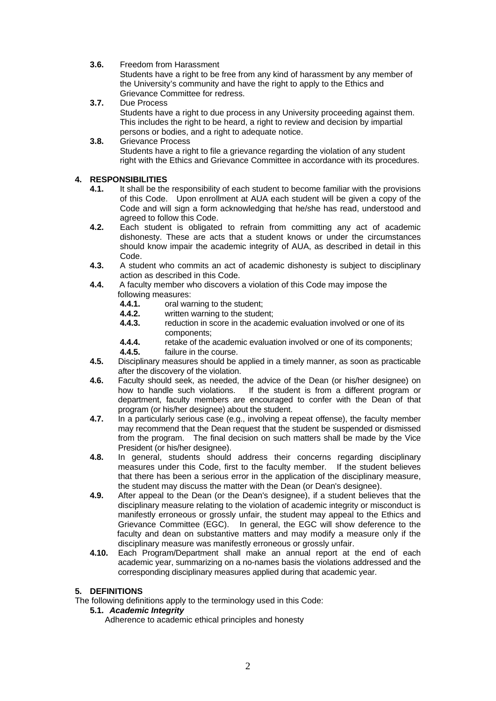**3.6.** Freedom from Harassment

Students have a right to be free from any kind of harassment by any member of the University's community and have the right to apply to the Ethics and Grievance Committee for redress.

- **3.7.** Due Process Students have a right to due process in any University proceeding against them. This includes the right to be heard, a right to review and decision by impartial persons or bodies, and a right to adequate notice.
- **3.8.** Grievance Process Students have a right to file a grievance regarding the violation of any student right with the Ethics and Grievance Committee in accordance with its procedures.

## **4. RESPONSIBILITIES**

- **4.1.** It shall be the responsibility of each student to become familiar with the provisions of this Code. Upon enrollment at AUA each student will be given a copy of the Code and will sign a form acknowledging that he/she has read, understood and agreed to follow this Code.
- **4.2.** Each student is obligated to refrain from committing any act of academic dishonesty. These are acts that a student knows or under the circumstances should know impair the academic integrity of AUA, as described in detail in this Code.
- **4.3.** A student who commits an act of academic dishonesty is subject to disciplinary action as described in this Code.
- **4.4.** A faculty member who discovers a violation of this Code may impose the following measures:
	- **4.4.1. brack** oral warning to the student;<br>**4.4.2. written warning to the stude**
	- **4.4.2.** written warning to the student;<br>**4.4.3.** reduction in score in the acade
	- **4.4.3.** reduction in score in the academic evaluation involved or one of its components;<br>4.4.4 retake of the
	- 4.4.4. retake of the academic evaluation involved or one of its components;<br>4.4.5. failure in the course.

failure in the course.

- **4.5.** Disciplinary measures should be applied in a timely manner, as soon as practicable after the discovery of the violation.
- **4.6.** Faculty should seek, as needed, the advice of the Dean (or his/her designee) on how to handle such violations. If the student is from a different program or department, faculty members are encouraged to confer with the Dean of that program (or his/her designee) about the student.
- **4.7.** In a particularly serious case (e.g., involving a repeat offense), the faculty member may recommend that the Dean request that the student be suspended or dismissed from the program. The final decision on such matters shall be made by the Vice President (or his/her designee).
- **4.8.** In general, students should address their concerns regarding disciplinary measures under this Code, first to the faculty member. If the student believes that there has been a serious error in the application of the disciplinary measure, the student may discuss the matter with the Dean (or Dean's designee).
- **4.9.** After appeal to the Dean (or the Dean's designee), if a student believes that the disciplinary measure relating to the violation of academic integrity or misconduct is manifestly erroneous or grossly unfair, the student may appeal to the Ethics and Grievance Committee (EGC). In general, the EGC will show deference to the faculty and dean on substantive matters and may modify a measure only if the disciplinary measure was manifestly erroneous or grossly unfair.
- **4.10.** Each Program/Department shall make an annual report at the end of each academic year, summarizing on a no-names basis the violations addressed and the corresponding disciplinary measures applied during that academic year.

## **5. DEFINITIONS**

The following definitions apply to the terminology used in this Code:

**5.1.** *Academic Integrity*

Adherence to academic ethical principles and honesty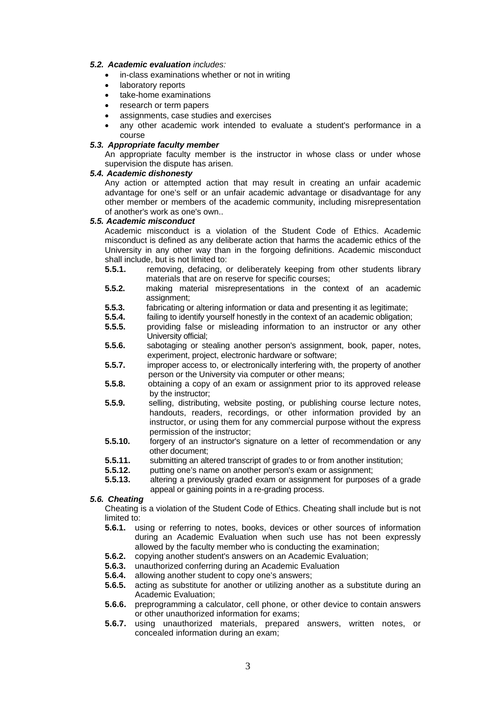#### *5.2. Academic evaluation includes:*

- in-class examinations whether or not in writing
- laboratory reports
- take-home examinations
- research or term papers
- assignments, case studies and exercises
- any other academic work intended to evaluate a student's performance in a course

#### *5.3. Appropriate faculty member*

An appropriate faculty member is the instructor in whose class or under whose supervision the dispute has arisen.

### *5.4. Academic dishonesty*

 Any action or attempted action that may result in creating an unfair academic advantage for one's self or an unfair academic advantage or disadvantage for any other member or members of the academic community, including misrepresentation of another's work as one's own..

#### *5.5. Academic misconduct*

Academic misconduct is a violation of the Student Code of Ethics. Academic misconduct is defined as any deliberate action that harms the academic ethics of the University in any other way than in the forgoing definitions. Academic misconduct shall include, but is not limited to:

- **5.5.1.** removing, defacing, or deliberately keeping from other students library materials that are on reserve for specific courses;
- **5.5.2.** making material misrepresentations in the context of an academic assignment;
- **5.5.3. fabricating or altering information or data and presenting it as legitimate;**<br>**5.5.4 failing to identify yourself bonestly in the context of an academic obligation**
- failing to identify yourself honestly in the context of an academic obligation;
- **5.5.5.** providing false or misleading information to an instructor or any other University official;
- **5.5.6.** sabotaging or stealing another person's assignment, book, paper, notes, experiment, project, electronic hardware or software;
- **5.5.7.** improper access to, or electronically interfering with, the property of another person or the University via computer or other means;
- **5.5.8.** obtaining a copy of an exam or assignment prior to its approved release by the instructor;
- **5.5.9.** selling, distributing, website posting, or publishing course lecture notes, handouts, readers, recordings, or other information provided by an instructor, or using them for any commercial purpose without the express permission of the instructor;
- **5.5.10.** forgery of an instructor's signature on a letter of recommendation or any other document;
- **5.5.11.** Submitting an altered transcript of grades to or from another institution;<br>**5.5.12.** putting one's name on another person's exam or assignment:
- **5.5.12. putting one's name on another person's exam or assignment;**<br>**5.5.13.** altering a previously graded exam or assignment for purpose
- **5.5.13.** altering a previously graded exam or assignment for purposes of a grade appeal or gaining points in a re-grading process.

## *5.6. Cheating*

 Cheating is a violation of the Student Code of Ethics. Cheating shall include but is not limited to:

- **5.6.1.** using or referring to notes, books, devices or other sources of information during an Academic Evaluation when such use has not been expressly allowed by the faculty member who is conducting the examination;
- **5.6.2.** copying another student's answers on an Academic Evaluation;
- **5.6.3.** unauthorized conferring during an Academic Evaluation
- **5.6.4.** allowing another student to copy one's answers;
- **5.6.5.** acting as substitute for another or utilizing another as a substitute during an Academic Evaluation;
- **5.6.6.** preprogramming a calculator, cell phone, or other device to contain answers or other unauthorized information for exams;
- **5.6.7.** using unauthorized materials, prepared answers, written notes, or concealed information during an exam;